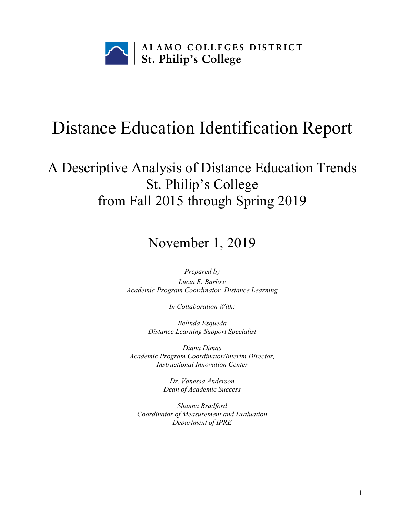

# Distance Education Identification Report

## A Descriptive Analysis of Distance Education Trends St. Philip's College from Fall 2015 through Spring 2019

## November 1, 2019

*Prepared by Lucia E. Barlow Academic Program Coordinator, Distance Learning*

*In Collaboration With:*

*Belinda Esqueda Distance Learning Support Specialist*

*Diana Dimas Academic Program Coordinator/Interim Director, Instructional Innovation Center*

> *Dr. Vanessa Anderson Dean of Academic Success*

*Shanna Bradford Coordinator of Measurement and Evaluation Department of IPRE*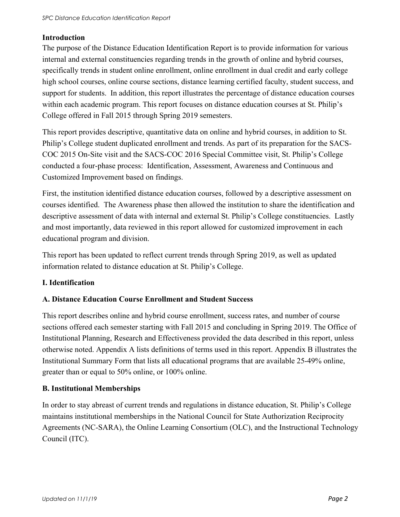#### **Introduction**

The purpose of the Distance Education Identification Report is to provide information for various internal and external constituencies regarding trends in the growth of online and hybrid courses, specifically trends in student online enrollment, online enrollment in dual credit and early college high school courses, online course sections, distance learning certified faculty, student success, and support for students. In addition, this report illustrates the percentage of distance education courses within each academic program. This report focuses on distance education courses at St. Philip's College offered in Fall 2015 through Spring 2019 semesters.

This report provides descriptive, quantitative data on online and hybrid courses, in addition to St. Philip's College student duplicated enrollment and trends. As part of its preparation for the SACS-COC 2015 On-Site visit and the SACS-COC 2016 Special Committee visit, St. Philip's College conducted a four-phase process: Identification, Assessment, Awareness and Continuous and Customized Improvement based on findings.

First, the institution identified distance education courses, followed by a descriptive assessment on courses identified. The Awareness phase then allowed the institution to share the identification and descriptive assessment of data with internal and external St. Philip's College constituencies. Lastly and most importantly, data reviewed in this report allowed for customized improvement in each educational program and division.

This report has been updated to reflect current trends through Spring 2019, as well as updated information related to distance education at St. Philip's College.

#### **I. Identification**

#### **A. Distance Education Course Enrollment and Student Success**

This report describes online and hybrid course enrollment, success rates, and number of course sections offered each semester starting with Fall 2015 and concluding in Spring 2019. The Office of Institutional Planning, Research and Effectiveness provided the data described in this report, unless otherwise noted. Appendix A lists definitions of terms used in this report. Appendix B illustrates the Institutional Summary Form that lists all educational programs that are available 25-49% online, greater than or equal to 50% online, or 100% online.

#### **B. Institutional Memberships**

In order to stay abreast of current trends and regulations in distance education, St. Philip's College maintains institutional memberships in the National Council for State Authorization Reciprocity Agreements (NC-SARA), the Online Learning Consortium (OLC), and the Instructional Technology Council (ITC).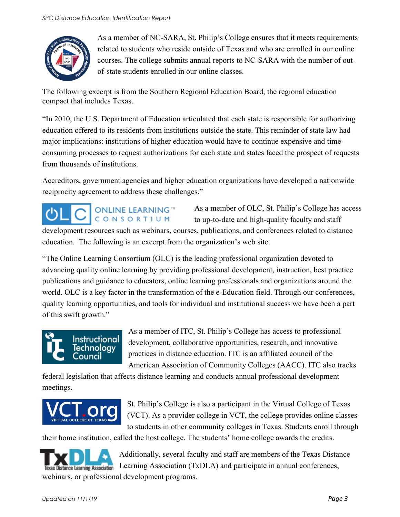

As a member of NC-SARA, St. Philip's College ensures that it meets requirements related to students who reside outside of Texas and who are enrolled in our online courses. The college submits annual reports to NC-SARA with the number of outof-state students enrolled in our online classes.

The following excerpt is from the Southern Regional Education Board, the regional education compact that includes Texas.

"In 2010, the U.S. Department of Education articulated that each state is responsible for authorizing education offered to its residents from institutions outside the state. This reminder of state law had major implications: institutions of higher education would have to continue expensive and timeconsuming processes to request authorizations for each state and states faced the prospect of requests from thousands of institutions.

Accreditors, government agencies and higher education organizations have developed a nationwide reciprocity agreement to address these challenges."

## **ONLINE LEARNING™** CONSORTIUM

As a member of OLC, St. Philip's College has access to up-to-date and high-quality faculty and staff

development resources such as webinars, courses, publications, and conferences related to distance education. The following is an excerpt from the organization's web site.

"The Online Learning Consortium (OLC) is the leading professional organization devoted to advancing quality online learning by providing professional development, instruction, best practice publications and guidance to educators, online learning professionals and organizations around the world. OLC is a key factor in the transformation of the e-Education field. Through our conferences, quality learning opportunities, and tools for individual and institutional success we have been a part of this swift growth."

## Instructional Fechnology Council

As a member of ITC, St. Philip's College has access to professional development, collaborative opportunities, research, and innovative practices in distance education. ITC is an affiliated council of the American Association of Community Colleges (AACC). ITC also tracks

federal legislation that affects distance learning and conducts annual professional development meetings.



St. Philip's College is also a participant in the Virtual College of Texas (VCT). As a provider college in VCT, the college provides online classes to students in other community colleges in Texas. Students enroll through

their home institution, called the host college. The students' home college awards the credits.



Additionally, several faculty and staff are members of the Texas Distance Learning Association (TxDLA) and participate in annual conferences, webinars, or professional development programs.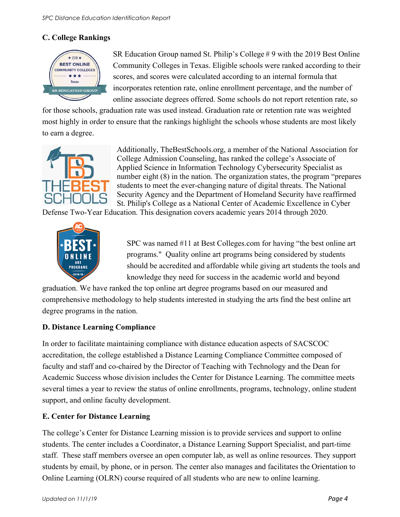#### **C. College Rankings**



SR Education Group named St. Philip's College # 9 with the 2019 Best Online Community Colleges in Texas. Eligible schools were ranked according to their scores, and scores were calculated according to an internal formula that incorporates retention rate, online enrollment percentage, and the number of online associate degrees offered. Some schools do not report retention rate, so

for those schools, graduation rate was used instead. Graduation rate or retention rate was weighted most highly in order to ensure that the rankings highlight the schools whose students are most likely to earn a degree.



Additionally, TheBestSchools.org, a member of the National Association for College Admission Counseling, has ranked the college's Associate of Applied Science in Information Technology Cybersecurity Specialist as number eight  $(8)$  in the nation. The organization states, the program "prepares" students to meet the ever-changing nature of digital threats. The National Security Agency and the Department of Homeland Security have reaffirmed St. Philip's College as a National Center of Academic Excellence in Cyber

Defense Two-Year Education. This designation covers academic years 2014 through 2020.



SPC was named #11 at Best Colleges.com for having "the best online art programs." Quality online art programs being considered by students should be accredited and affordable while giving art students the tools and knowledge they need for success in the academic world and beyond

graduation. We have ranked the top online art degree programs based on our measured and comprehensive methodology to help students interested in studying the arts find the best online art degree programs in the nation.

#### **D. Distance Learning Compliance**

In order to facilitate maintaining compliance with distance education aspects of SACSCOC accreditation, the college established a Distance Learning Compliance Committee composed of faculty and staff and co-chaired by the Director of Teaching with Technology and the Dean for Academic Success whose division includes the Center for Distance Learning. The committee meets several times a year to review the status of online enrollments, programs, technology, online student support, and online faculty development.

#### **E. Center for Distance Learning**

The college's Center for Distance Learning mission is to provide services and support to online students. The center includes a Coordinator, a Distance Learning Support Specialist, and part-time staff. These staff members oversee an open computer lab, as well as online resources. They support students by email, by phone, or in person. The center also manages and facilitates the Orientation to Online Learning (OLRN) course required of all students who are new to online learning.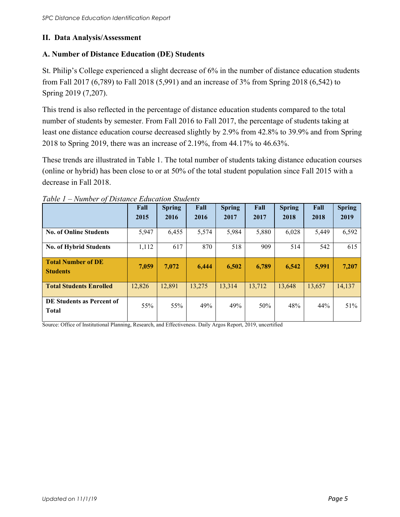#### **II. Data Analysis/Assessment**

#### **A. Number of Distance Education (DE) Students**

St. Philip's College experienced a slight decrease of 6% in the number of distance education students from Fall 2017 (6,789) to Fall 2018 (5,991) and an increase of 3% from Spring 2018 (6,542) to Spring 2019 (7,207).

This trend is also reflected in the percentage of distance education students compared to the total number of students by semester. From Fall 2016 to Fall 2017, the percentage of students taking at least one distance education course decreased slightly by 2.9% from 42.8% to 39.9% and from Spring 2018 to Spring 2019, there was an increase of 2.19%, from 44.17% to 46.63%.

These trends are illustrated in Table 1. The total number of students taking distance education courses (online or hybrid) has been close to or at 50% of the total student population since Fall 2015 with a decrease in Fall 2018.

|                                              | Fall<br>2015 | <b>Spring</b><br>2016 | Fall<br>2016 | <b>Spring</b><br>2017 | Fall<br>2017 | <b>Spring</b><br>2018 | Fall<br>2018 | <b>Spring</b><br>2019 |
|----------------------------------------------|--------------|-----------------------|--------------|-----------------------|--------------|-----------------------|--------------|-----------------------|
| <b>No. of Online Students</b>                | 5,947        | 6,455                 | 5,574        | 5,984                 | 5,880        | 6,028                 | 5,449        | 6,592                 |
| No. of Hybrid Students                       | 1,112        | 617                   | 870          | 518                   | 909          | 514                   | 542          | 615                   |
| <b>Total Number of DE</b><br><b>Students</b> | 7.059        | 7.072                 | 6,444        | 6,502                 | 6,789        | 6.542                 | 5,991        | 7,207                 |
| <b>Total Students Enrolled</b>               | 12,826       | 12,891                | 13,275       | 13,314                | 13,712       | 13.648                | 13.657       | 14,137                |
| DE Students as Percent of<br><b>Total</b>    | 55%          | 55%                   | 49%          | 49%                   | 50%          | 48%                   | 44%          | 51%                   |

*Table 1 – Number of Distance Education Students*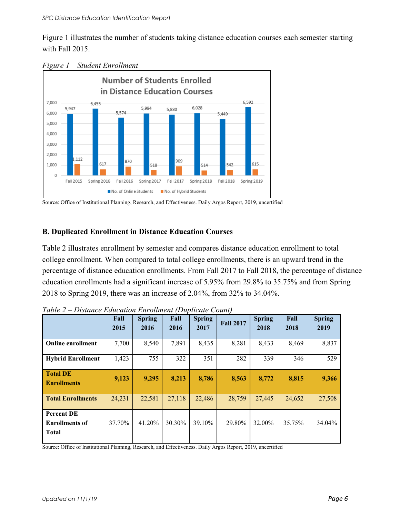Figure 1 illustrates the number of students taking distance education courses each semester starting with Fall 2015.



*Figure 1 – Student Enrollment* 

Source: Office of Institutional Planning, Research, and Effectiveness. Daily Argos Report, 2019, uncertified

#### **B. Duplicated Enrollment in Distance Education Courses**

Table 2 illustrates enrollment by semester and compares distance education enrollment to total college enrollment. When compared to total college enrollments, there is an upward trend in the percentage of distance education enrollments. From Fall 2017 to Fall 2018, the percentage of distance education enrollments had a significant increase of 5.95% from 29.8% to 35.75% and from Spring 2018 to Spring 2019, there was an increase of 2.04%, from 32% to 34.04%.

|                                                            | Fall<br>2015 | <b>Spring</b><br>2016 | Fall<br>2016 | <b>Spring</b><br>2017 | <b>Fall 2017</b> | <b>Spring</b><br>2018 | Fall<br>2018 | <b>Spring</b><br>2019 |
|------------------------------------------------------------|--------------|-----------------------|--------------|-----------------------|------------------|-----------------------|--------------|-----------------------|
| <b>Online enrollment</b>                                   | 7,700        | 8,540                 | 7,891        | 8,435                 | 8,281            | 8,433                 | 8,469        | 8,837                 |
| <b>Hybrid Enrollment</b>                                   | 1,423        | 755                   | 322          | 351                   | 282              | 339                   | 346          | 529                   |
| <b>Total DE</b><br><b>Enrollments</b>                      | 9,123        | 9,295                 | 8,213        | 8,786                 | 8,563            | 8,772                 | 8,815        | 9,366                 |
| <b>Total Enrollments</b>                                   | 24,231       | 22,581                | 27,118       | 22,486                | 28,759           | 27,445                | 24,652       | 27,508                |
| <b>Percent DE</b><br><b>Enrollments of</b><br><b>Total</b> | 37.70%       | 41.20%                | 30.30%       | 39.10%                | 29.80%           | 32.00%                | 35.75%       | 34.04%                |

*Table 2 – Distance Education Enrollment (Duplicate Count)*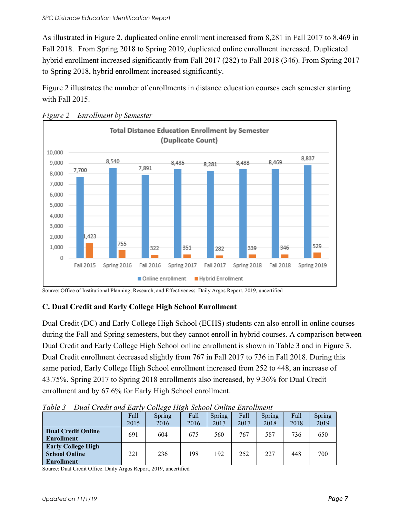As illustrated in Figure 2, duplicated online enrollment increased from 8,281 in Fall 2017 to 8,469 in Fall 2018. From Spring 2018 to Spring 2019, duplicated online enrollment increased. Duplicated hybrid enrollment increased significantly from Fall 2017 (282) to Fall 2018 (346). From Spring 2017 to Spring 2018, hybrid enrollment increased significantly.

Figure 2 illustrates the number of enrollments in distance education courses each semester starting with Fall 2015.



*Figure 2 – Enrollment by Semester*

Source: Office of Institutional Planning, Research, and Effectiveness. Daily Argos Report, 2019, uncertified

#### **C. Dual Credit and Early College High School Enrollment**

Dual Credit (DC) and Early College High School (ECHS) students can also enroll in online courses during the Fall and Spring semesters, but they cannot enroll in hybrid courses. A comparison between Dual Credit and Early College High School online enrollment is shown in Table 3 and in Figure 3. Dual Credit enrollment decreased slightly from 767 in Fall 2017 to 736 in Fall 2018. During this same period, Early College High School enrollment increased from 252 to 448, an increase of 43.75%. Spring 2017 to Spring 2018 enrollments also increased, by 9.36% for Dual Credit enrollment and by 67.6% for Early High School enrollment.

|                                                                        | Fall<br>2015 | Spring<br>2016 | Fall<br>2016 | Spring<br>2017 | Fall<br>2017 | Spring<br>2018 | Fall<br>2018 | Spring<br>2019 |
|------------------------------------------------------------------------|--------------|----------------|--------------|----------------|--------------|----------------|--------------|----------------|
| <b>Dual Credit Online</b><br><b>Enrollment</b>                         | 691          | 604            | 675          | 560            | 767          | 587            | 736          | 650            |
| <b>Early College High</b><br><b>School Online</b><br><b>Enrollment</b> | 221          | 236            | 198          | 192            | 252          | 227            | 448          | 700            |

*Table 3 – Dual Credit and Early College High School Online Enrollment*

Source: Dual Credit Office. Daily Argos Report, 2019, uncertified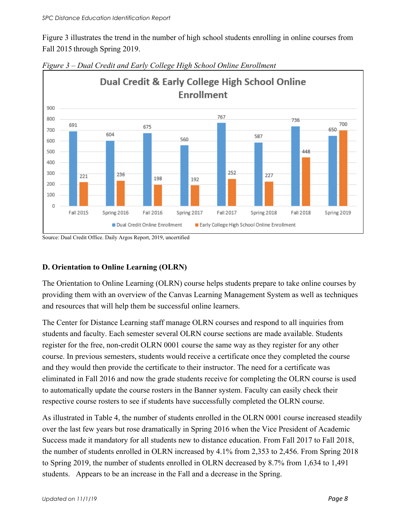Figure 3 illustrates the trend in the number of high school students enrolling in online courses from Fall 2015 through Spring 2019.



*Figure 3 – Dual Credit and Early College High School Online Enrollment* 

Source: Dual Credit Office. Daily Argos Report, 2019, uncertified

#### **D. Orientation to Online Learning (OLRN)**

The Orientation to Online Learning (OLRN) course helps students prepare to take online courses by providing them with an overview of the Canvas Learning Management System as well as techniques and resources that will help them be successful online learners.

The Center for Distance Learning staff manage OLRN courses and respond to all inquiries from students and faculty. Each semester several OLRN course sections are made available. Students register for the free, non-credit OLRN 0001 course the same way as they register for any other course. In previous semesters, students would receive a certificate once they completed the course and they would then provide the certificate to their instructor. The need for a certificate was eliminated in Fall 2016 and now the grade students receive for completing the OLRN course is used to automatically update the course rosters in the Banner system. Faculty can easily check their respective course rosters to see if students have successfully completed the OLRN course.

As illustrated in Table 4, the number of students enrolled in the OLRN 0001 course increased steadily over the last few years but rose dramatically in Spring 2016 when the Vice President of Academic Success made it mandatory for all students new to distance education. From Fall 2017 to Fall 2018, the number of students enrolled in OLRN increased by 4.1% from 2,353 to 2,456. From Spring 2018 to Spring 2019, the number of students enrolled in OLRN decreased by 8.7% from 1,634 to 1,491 students. Appears to be an increase in the Fall and a decrease in the Spring.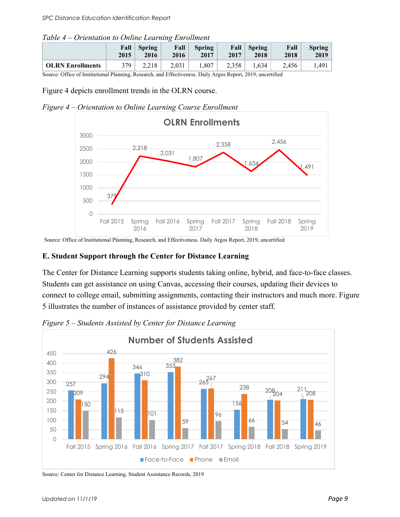| Table 4 – Orientation to Online Learning Enrollment |  |  |
|-----------------------------------------------------|--|--|
|-----------------------------------------------------|--|--|

|                         | Fall | <b>Spring</b> | Fall  | <b>Spring</b> | Fall  | Spring | Fall  | $Spring \vert$ |
|-------------------------|------|---------------|-------|---------------|-------|--------|-------|----------------|
|                         | 2015 | 2016          | 2016  | 2017          | 2017  | 2018   | 2018  | 2019           |
| <b>OLRN</b> Enrollments | 379  | 2.218         | 2.031 | 1.807         | 2,358 | 1.634  | 2.456 | 1.491          |

Source: Office of Institutional Planning, Research, and Effectiveness. Daily Argos Report, 2019, uncertified

Figure 4 depicts enrollment trends in the OLRN course.





Source: Office of Institutional Planning, Research, and Effectiveness. Daily Argos Report, 2019, uncertified

#### **E. Student Support through the Center for Distance Learning**

The Center for Distance Learning supports students taking online, hybrid, and face-to-face classes. Students can get assistance on using Canvas, accessing their courses, updating their devices to connect to college email, submitting assignments, contacting their instructors and much more. Figure 5 illustrates the number of instances of assistance provided by center staff.



*Figure 5 – Students Assisted by Center for Distance Learning*

Source: Center for Distance Learning, Student Assistance Records, 2019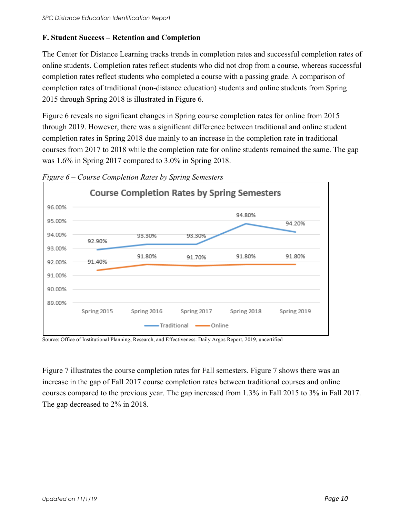#### **F. Student Success – Retention and Completion**

The Center for Distance Learning tracks trends in completion rates and successful completion rates of online students. Completion rates reflect students who did not drop from a course, whereas successful completion rates reflect students who completed a course with a passing grade. A comparison of completion rates of traditional (non-distance education) students and online students from Spring 2015 through Spring 2018 is illustrated in Figure 6.

Figure 6 reveals no significant changes in Spring course completion rates for online from 2015 through 2019. However, there was a significant difference between traditional and online student completion rates in Spring 2018 due mainly to an increase in the completion rate in traditional courses from 2017 to 2018 while the completion rate for online students remained the same. The gap was 1.6% in Spring 2017 compared to 3.0% in Spring 2018.



*Figure 6 – Course Completion Rates by Spring Semesters*

Source: Office of Institutional Planning, Research, and Effectiveness. Daily Argos Report, 2019, uncertified

Figure 7 illustrates the course completion rates for Fall semesters. Figure 7 shows there was an increase in the gap of Fall 2017 course completion rates between traditional courses and online courses compared to the previous year. The gap increased from 1.3% in Fall 2015 to 3% in Fall 2017. The gap decreased to 2% in 2018.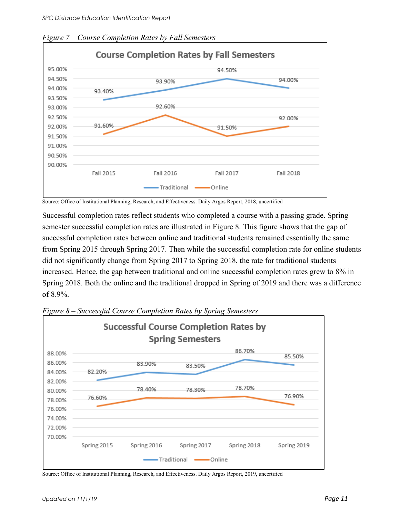

*Figure 7 – Course Completion Rates by Fall Semesters*

Source: Office of Institutional Planning, Research, and Effectiveness. Daily Argos Report, 2018, uncertified

Successful completion rates reflect students who completed a course with a passing grade. Spring semester successful completion rates are illustrated in Figure 8. This figure shows that the gap of successful completion rates between online and traditional students remained essentially the same from Spring 2015 through Spring 2017. Then while the successful completion rate for online students did not significantly change from Spring 2017 to Spring 2018, the rate for traditional students increased. Hence, the gap between traditional and online successful completion rates grew to 8% in Spring 2018. Both the online and the traditional dropped in Spring of 2019 and there was a difference of 8.9%.



*Figure 8 – Successful Course Completion Rates by Spring Semesters*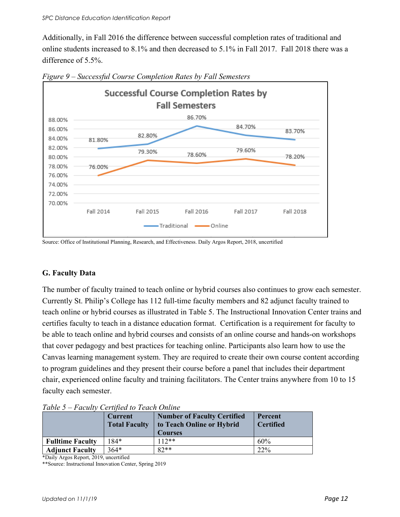Additionally, in Fall 2016 the difference between successful completion rates of traditional and online students increased to 8.1% and then decreased to 5.1% in Fall 2017. Fall 2018 there was a difference of 5.5%.



*Figure 9 – Successful Course Completion Rates by Fall Semesters* 

Source: Office of Institutional Planning, Research, and Effectiveness. Daily Argos Report, 2018, uncertified

#### **G. Faculty Data**

The number of faculty trained to teach online or hybrid courses also continues to grow each semester. Currently St. Philip's College has 112 full-time faculty members and 82 adjunct faculty trained to teach online or hybrid courses as illustrated in Table 5. The Instructional Innovation Center trains and certifies faculty to teach in a distance education format. Certification is a requirement for faculty to be able to teach online and hybrid courses and consists of an online course and hands-on workshops that cover pedagogy and best practices for teaching online. Participants also learn how to use the Canvas learning management system. They are required to create their own course content according to program guidelines and they present their course before a panel that includes their department chair, experienced online faculty and training facilitators. The Center trains anywhere from 10 to 15 faculty each semester.

| 1 <i>00000</i><br>T UCHIV CONTROL IO TOUCH OTHER | <b>Current</b><br><b>Total Faculty</b> | <b>Number of Faculty Certified</b><br>to Teach Online or Hybrid<br><b>Courses</b> | Percent<br><b>Certified</b> |
|--------------------------------------------------|----------------------------------------|-----------------------------------------------------------------------------------|-----------------------------|
| <b>Fulltime Faculty</b>                          | 184*                                   | $112**$                                                                           | 60%                         |
| <b>Adjunct Faculty</b>                           | $364*$                                 | $82**$                                                                            | 22%                         |

*Table 5 – Faculty Certified to Teach Online* 

\*Daily Argos Report, 2019, uncertified

\*\*Source: Instructional Innovation Center, Spring 2019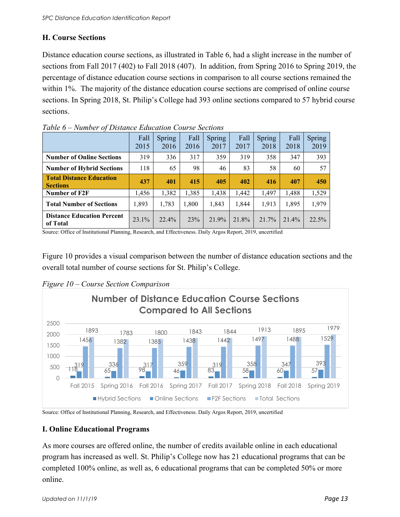#### **H. Course Sections**

Distance education course sections, as illustrated in Table 6, had a slight increase in the number of sections from Fall 2017 (402) to Fall 2018 (407). In addition, from Spring 2016 to Spring 2019, the percentage of distance education course sections in comparison to all course sections remained the within 1%. The majority of the distance education course sections are comprised of online course sections. In Spring 2018, St. Philip's College had 393 online sections compared to 57 hybrid course sections.

|                                                    | Fall<br>2015 | Spring<br>2016 | Fall<br>2016 | Spring<br>2017 | Fall<br>2017 | Spring<br>2018 | Fall<br>2018 | Spring<br>2019 |
|----------------------------------------------------|--------------|----------------|--------------|----------------|--------------|----------------|--------------|----------------|
| <b>Number of Online Sections</b>                   | 319          | 336            | 317          | 359            | 319          | 358            | 347          | 393            |
| <b>Number of Hybrid Sections</b>                   | 118          | 65             | 98           | 46             | 83           | 58             | 60           | 57             |
| <b>Total Distance Education</b><br><b>Sections</b> | 437          | 401            | 415          | 405            | 402          | 416            | 407          | 450            |
| Number of F2F                                      | 1,456        | 1,382          | 1,385        | 1,438          | 1,442        | 1,497          | 1,488        | 1,529          |
| <b>Total Number of Sections</b>                    | 1,893        | 1,783          | 1,800        | 1,843          | 1,844        | 1.913          | 1,895        | 1,979          |
| <b>Distance Education Percent</b><br>of Total      | 23.1%        | 22.4%          | 23%          | 21.9%          | 21.8%        | 21.7%          | 21.4%        | 22.5%          |

*Table 6 – Number of Distance Education Course Sections* 

Source: Office of Institutional Planning, Research, and Effectiveness. Daily Argos Report, 2019, uncertified

Figure 10 provides a visual comparison between the number of distance education sections and the overall total number of course sections for St. Philip's College.



*Figure 10 – Course Section Comparison* 

Source: Office of Institutional Planning, Research, and Effectiveness. Daily Argos Report, 2019, uncertified

#### **I. Online Educational Programs**

As more courses are offered online, the number of credits available online in each educational program has increased as well. St. Philip's College now has 21 educational programs that can be completed 100% online, as well as, 6 educational programs that can be completed 50% or more online.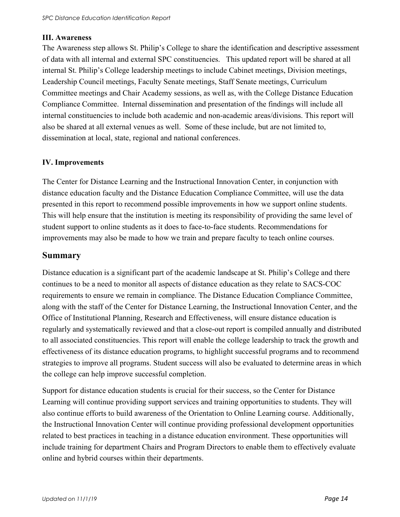#### **III. Awareness**

The Awareness step allows St. Philip's College to share the identification and descriptive assessment of data with all internal and external SPC constituencies. This updated report will be shared at all internal St. Philip's College leadership meetings to include Cabinet meetings, Division meetings, Leadership Council meetings, Faculty Senate meetings, Staff Senate meetings, Curriculum Committee meetings and Chair Academy sessions, as well as, with the College Distance Education Compliance Committee. Internal dissemination and presentation of the findings will include all internal constituencies to include both academic and non-academic areas/divisions. This report will also be shared at all external venues as well. Some of these include, but are not limited to, dissemination at local, state, regional and national conferences.

#### **IV. Improvements**

The Center for Distance Learning and the Instructional Innovation Center, in conjunction with distance education faculty and the Distance Education Compliance Committee, will use the data presented in this report to recommend possible improvements in how we support online students. This will help ensure that the institution is meeting its responsibility of providing the same level of student support to online students as it does to face-to-face students. Recommendations for improvements may also be made to how we train and prepare faculty to teach online courses.

#### **Summary**

Distance education is a significant part of the academic landscape at St. Philip's College and there continues to be a need to monitor all aspects of distance education as they relate to SACS-COC requirements to ensure we remain in compliance. The Distance Education Compliance Committee, along with the staff of the Center for Distance Learning, the Instructional Innovation Center, and the Office of Institutional Planning, Research and Effectiveness, will ensure distance education is regularly and systematically reviewed and that a close-out report is compiled annually and distributed to all associated constituencies. This report will enable the college leadership to track the growth and effectiveness of its distance education programs, to highlight successful programs and to recommend strategies to improve all programs. Student success will also be evaluated to determine areas in which the college can help improve successful completion.

Support for distance education students is crucial for their success, so the Center for Distance Learning will continue providing support services and training opportunities to students. They will also continue efforts to build awareness of the Orientation to Online Learning course. Additionally, the Instructional Innovation Center will continue providing professional development opportunities related to best practices in teaching in a distance education environment. These opportunities will include training for department Chairs and Program Directors to enable them to effectively evaluate online and hybrid courses within their departments.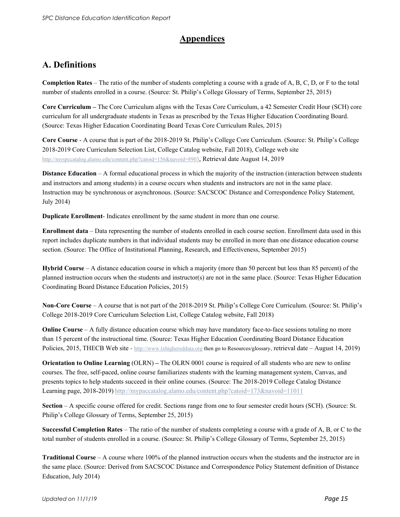#### **Appendices**

### **A. Definitions**

**Completion Rates** – The ratio of the number of students completing a course with a grade of A, B, C, D, or F to the total number of students enrolled in a course. (Source: St. Philip's College Glossary of Terms, September 25, 2015)

**Core Curriculum –** The Core Curriculum aligns with the Texas Core Curriculum, a 42 Semester Credit Hour (SCH) core curriculum for all undergraduate students in Texas as prescribed by the Texas Higher Education Coordinating Board. (Source: Texas Higher Education Coordinating Board Texas Core Curriculum Rules, 2015)

**Core Course** - A course that is part of the 2018-2019 St. Philip's College Core Curriculum. (Source: St. Philip's College 2018-2019 Core Curriculum Selection List, College Catalog website, Fall 2018), College web site [http://myspccatalog.alamo.edu/content.php?catoid=156&navoid=8903,](http://myspccatalog.alamo.edu/content.php?catoid=156&navoid=8903) Retrieval date August 14, 2019

**Distance Education** – A formal educational process in which the majority of the instruction (interaction between students and instructors and among students) in a course occurs when students and instructors are not in the same place. Instruction may be synchronous or asynchronous. (Source: SACSCOC Distance and Correspondence Policy Statement, July 2014)

**Duplicate Enrollment**- Indicates enrollment by the same student in more than one course.

**Enrollment data** – Data representing the number of students enrolled in each course section. Enrollment data used in this report includes duplicate numbers in that individual students may be enrolled in more than one distance education course section. (Source: The Office of Institutional Planning, Research, and Effectiveness, September 2015)

**Hybrid Course** – A distance education course in which a majority (more than 50 percent but less than 85 percent) of the planned instruction occurs when the students and instructor(s) are not in the same place. (Source: Texas Higher Education Coordinating Board Distance Education Policies, 2015)

**Non-Core Course** – A course that is not part of the 2018-2019 St. Philip's College Core Curriculum. (Source: St. Philip's College 2018-2019 Core Curriculum Selection List, College Catalog website, Fall 2018)

**Online** Course – A fully distance education course which may have mandatory face-to-face sessions totaling no more than 15 percent of the instructional time. (Source: Texas Higher Education Coordinating Board Distance Education Policies, 2015, THECB Web site - [http://www.txhighereddata.org](http://www.txhighereddata.org/) then go to Resources/glossary, retrieval date – August 14, 2019)

**Orientation to Online Learning** (OLRN) **–** The OLRN 0001 course is required of all students who are new to online courses. The free, self-paced, online course familiarizes students with the learning management system, Canvas, and presents topics to help students succeed in their online courses. (Source: The 2018-2019 College Catalog Distance Learning page, 2018-2019) <http://mypaccatalog.alamo.edu/content.php?catoid=173&navoid=11011>

**Section** – A specific course offered for credit. Sections range from one to four semester credit hours (SCH). (Source: St. Philip's College Glossary of Terms, September 25, 2015)

**Successful Completion Rates** – The ratio of the number of students completing a course with a grade of A, B, or C to the total number of students enrolled in a course. (Source: St. Philip's College Glossary of Terms, September 25, 2015)

**Traditional Course** – A course where 100% of the planned instruction occurs when the students and the instructor are in the same place. (Source: Derived from SACSCOC Distance and Correspondence Policy Statement definition of Distance Education, July 2014)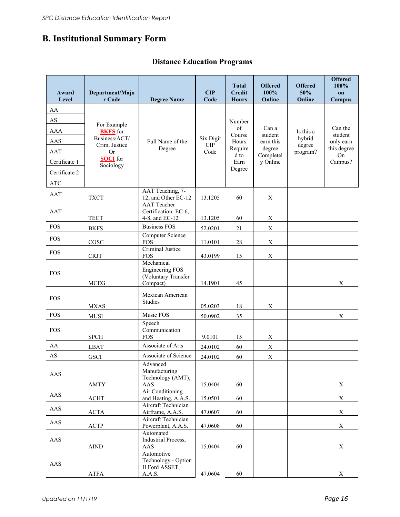## **B. Institutional Summary Form**

#### **Distance Education Programs**

| Award<br>Level         | Department/Majo<br>r Code        | <b>Degree Name</b>                                                      | CIP<br>Code        | <b>Total</b><br><b>Credit</b><br><b>Hours</b> | <b>Offered</b><br>100%<br>Online | <b>Offered</b><br>50%<br>Online | <b>Offered</b><br>100%<br>on<br>Campus |
|------------------------|----------------------------------|-------------------------------------------------------------------------|--------------------|-----------------------------------------------|----------------------------------|---------------------------------|----------------------------------------|
| AA                     |                                  |                                                                         |                    |                                               |                                  |                                 |                                        |
| $\mathbf{A}\mathbf{S}$ |                                  |                                                                         |                    |                                               |                                  |                                 |                                        |
| <b>AAA</b>             | For Example                      |                                                                         |                    | Number<br>of                                  | Can a                            |                                 | Can the                                |
| AAS                    | <b>BKFS</b> for<br>Business/ACT/ | Full Name of the                                                        | Six Digit          | Course<br>Hours                               | student<br>earn this             | Is this a<br>hybrid             | student                                |
| AAT                    | Crim. Justice<br><b>Or</b>       | Degree                                                                  | <b>CIP</b><br>Code | Require                                       | degree                           | degree                          | only earn<br>this degree               |
| Certificate 1          | <b>SOCI</b> for                  |                                                                         |                    | d to<br>Earn                                  | Completel<br>y Online            | program?                        | On<br>Campus?                          |
|                        | Sociology                        |                                                                         |                    | Degree                                        |                                  |                                 |                                        |
| Certificate 2          |                                  |                                                                         |                    |                                               |                                  |                                 |                                        |
| <b>ATC</b>             |                                  | AAT Teaching, 7-                                                        |                    |                                               |                                  |                                 |                                        |
| <b>AAT</b>             | <b>TXCT</b>                      | 12, and Other EC-12                                                     | 13.1205            | 60                                            | $\mathbf X$                      |                                 |                                        |
| AAT                    | <b>TECT</b>                      | <b>AAT</b> Teacher<br>Certification: EC-6,<br>4-8, and EC-12            | 13.1205            | 60                                            | $\mathbf X$                      |                                 |                                        |
| <b>FOS</b>             |                                  | <b>Business FOS</b>                                                     |                    |                                               |                                  |                                 |                                        |
|                        | <b>BKFS</b>                      | Computer Science                                                        | 52.0201            | 21                                            | $\mathbf X$                      |                                 |                                        |
| <b>FOS</b>             | COSC                             | <b>FOS</b>                                                              | 11.0101            | 28                                            | $\mathbf X$                      |                                 |                                        |
| <b>FOS</b>             | <b>CRJT</b>                      | Criminal Justice<br><b>FOS</b>                                          | 43.0199            | 15                                            | $\mathbf X$                      |                                 |                                        |
| <b>FOS</b>             | <b>MCEG</b>                      | Mechanical<br><b>Engineering FOS</b><br>(Voluntary Transfer<br>Compact) | 14.1901            | 45                                            |                                  |                                 | X                                      |
|                        |                                  | Mexican American                                                        |                    |                                               |                                  |                                 |                                        |
| <b>FOS</b>             | <b>MXAS</b>                      | <b>Studies</b>                                                          | 05.0203            | 18                                            | $\mathbf X$                      |                                 |                                        |
| <b>FOS</b>             | <b>MUSI</b>                      | Music FOS                                                               | 50.0902            | 35                                            |                                  |                                 | $\mathbf X$                            |
| <b>FOS</b>             | <b>SPCH</b>                      | Speech<br>Communication<br><b>FOS</b>                                   | 9.0101             | 15                                            | $\mathbf X$                      |                                 |                                        |
| AA                     | <b>LBAT</b>                      | Associate of Arts                                                       | 24.0102            | 60                                            | $\mathbf X$                      |                                 |                                        |
| AS                     | <b>GSCI</b>                      | Associate of Science                                                    | 24.0102            | 60                                            | $\mathbf X$                      |                                 |                                        |
| AAS                    | AMTY                             | Advanced<br>Manufacturing<br>Technology (AMT),<br>AAS                   | 15.0404            | 60                                            |                                  |                                 | $\mathbf X$                            |
| AAS                    |                                  | Air Conditioning                                                        |                    |                                               |                                  |                                 |                                        |
|                        | $\operatorname{ACHT}$            | and Heating, A.A.S.<br>Aircraft Technician                              | 15.0501            | 60                                            |                                  |                                 | $\mathbf X$                            |
| AAS                    | $\bf{ACT}A$                      | Airframe, A.A.S.                                                        | 47.0607            | 60                                            |                                  |                                 | $\mathbf X$                            |
| AAS                    | $\mathbf{ACTP}$                  | Aircraft Technician<br>Powerplant, A.A.S.                               | 47.0608            | 60                                            |                                  |                                 | $\mathbf X$                            |
| AAS                    | <b>AIND</b>                      | Automated<br>Industrial Process,<br>AAS                                 | 15.0404            | 60                                            |                                  |                                 | $\mathbf X$                            |
| AAS                    | ATFA                             | Automotive<br>Technology - Option<br>II Ford ASSET,<br>A.A.S.           | 47.0604            | 60                                            |                                  |                                 | $\mathbf X$                            |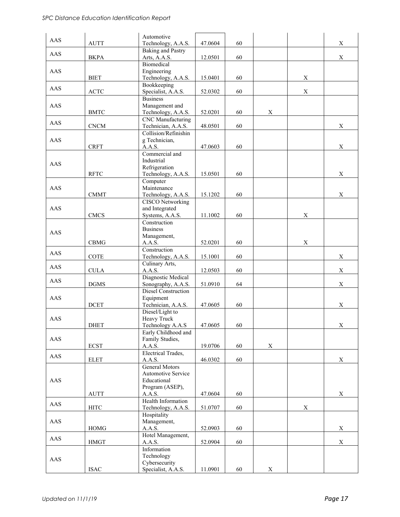| AAS       |                              | Automotive                                     |         |    |             |             |             |
|-----------|------------------------------|------------------------------------------------|---------|----|-------------|-------------|-------------|
|           | <b>AUTT</b>                  | Technology, A.A.S.                             | 47.0604 | 60 |             |             | X           |
| AAS       | <b>BKPA</b>                  | <b>Baking and Pastry</b><br>Arts, A.A.S.       | 12.0501 | 60 |             |             | $\mathbf X$ |
| AAS       |                              | <b>Biomedical</b><br>Engineering               |         |    |             |             |             |
|           | <b>BIET</b>                  | Technology, A.A.S.                             | 15.0401 | 60 |             | X           |             |
| AAS       |                              | Bookkeeping                                    |         |    |             |             |             |
|           | <b>ACTC</b>                  | Specialist, A.A.S.<br><b>Business</b>          | 52.0302 | 60 |             | X           |             |
| AAS       |                              | Management and                                 |         |    |             |             |             |
|           | <b>BMTC</b>                  | Technology, A.A.S.                             | 52.0201 | 60 | X           |             |             |
| AAS       | $\mathop{\rm CNCM}\nolimits$ | <b>CNC</b> Manufacturing<br>Technician, A.A.S. | 48.0501 | 60 |             |             | $\mathbf X$ |
|           |                              | Collision/Refinishin                           |         |    |             |             |             |
| AAS       |                              | g Technician,                                  |         |    |             |             |             |
|           | <b>CRFT</b>                  | A.A.S.<br>Commercial and                       | 47.0603 | 60 |             |             | $\mathbf X$ |
| AAS       |                              | Industrial                                     |         |    |             |             |             |
|           | <b>RFTC</b>                  | Refrigeration                                  |         | 60 |             |             | X           |
|           |                              | Technology, A.A.S.<br>Computer                 | 15.0501 |    |             |             |             |
| AAS       |                              | Maintenance                                    |         |    |             |             |             |
|           | $\rm CMMT$                   | Technology, A.A.S.                             | 15.1202 | 60 |             |             | X           |
| AAS       |                              | <b>CISCO</b> Networking<br>and Integrated      |         |    |             |             |             |
|           | <b>CMCS</b>                  | Systems, A.A.S.                                | 11.1002 | 60 |             | $\mathbf X$ |             |
|           |                              | Construction                                   |         |    |             |             |             |
| AAS       |                              | <b>Business</b><br>Management,                 |         |    |             |             |             |
|           | CBMG                         | A.A.S.                                         | 52.0201 | 60 |             | X           |             |
| AAS       |                              | Construction                                   |         |    |             |             |             |
|           | COTE                         | Technology, A.A.S.<br>Culinary Arts,           | 15.1001 | 60 |             |             | $\mathbf X$ |
| AAS       | <b>CULA</b>                  | A.A.S.                                         | 12.0503 | 60 |             |             | $\mathbf X$ |
| AAS       | <b>DGMS</b>                  | Diagnostic Medical<br>Sonography, A.A.S.       |         | 64 |             |             | $\mathbf X$ |
|           |                              | <b>Diesel Construction</b>                     | 51.0910 |    |             |             |             |
| $\rm AAS$ |                              | Equipment                                      |         |    |             |             |             |
|           | <b>DCET</b>                  | Technician, A.A.S.                             | 47.0605 | 60 |             |             | X           |
| AAS       |                              | Diesel/Light to<br>Heavy Truck                 |         |    |             |             |             |
|           | <b>DHET</b>                  | Technology A.A.S                               | 47.0605 | 60 |             |             | X           |
| AAS       |                              | Early Childhood and                            |         |    |             |             |             |
|           | <b>ECST</b>                  | Family Studies,<br>A.A.S.                      | 19.0706 | 60 | X           |             |             |
| AAS       |                              | Electrical Trades,                             |         |    |             |             |             |
|           | <b>ELET</b>                  | A.A.S.<br>General Motors                       | 46.0302 | 60 |             |             | X           |
|           |                              | Automotive Service                             |         |    |             |             |             |
| AAS       |                              | Educational                                    |         |    |             |             |             |
|           | <b>AUTT</b>                  | Program (ASEP),<br>A.A.S.                      | 47.0604 | 60 |             |             | X           |
|           |                              | Health Information                             |         |    |             |             |             |
| AAS       | <b>HITC</b>                  | Technology, A.A.S.                             | 51.0707 | 60 |             | Χ           |             |
| AAS       |                              | Hospitality<br>Management,                     |         |    |             |             |             |
|           | HOMG                         | A.A.S.                                         | 52.0903 | 60 |             |             | X           |
| AAS       |                              | Hotel Management,                              |         |    |             |             |             |
|           | <b>HMGT</b>                  | A.A.S.<br>Information                          | 52.0904 | 60 |             |             | $\mathbf X$ |
|           |                              | Technology                                     |         |    |             |             |             |
| AAS       |                              | Cybersecurity                                  |         |    |             |             |             |
|           | $_{\mathrm{ISAC}}$           | Specialist, A.A.S.                             | 11.0901 | 60 | $\mathbf X$ |             |             |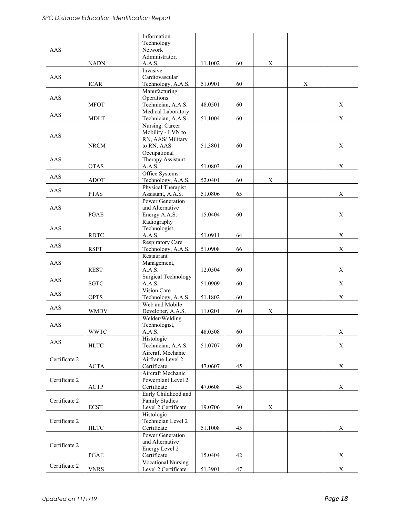|               |              | Information                |         |    |             |   |             |
|---------------|--------------|----------------------------|---------|----|-------------|---|-------------|
|               |              | Technology                 |         |    |             |   |             |
| AAS           |              | Network                    |         |    |             |   |             |
|               |              | Administrator,             |         |    |             |   |             |
|               | <b>NADN</b>  | A.A.S.                     | 11.1002 | 60 | $\mathbf X$ |   |             |
|               |              | Invasive                   |         |    |             |   |             |
| AAS           |              | Cardiovascular             |         |    |             |   |             |
|               | <b>ICAR</b>  | Technology, A.A.S.         | 51.0901 | 60 |             | X |             |
|               |              | Manufacturing              |         |    |             |   |             |
| AAS           |              | Operations                 |         |    |             |   |             |
|               | <b>MFOT</b>  | Technician, A.A.S.         | 48.0501 | 60 |             |   | $\mathbf X$ |
|               |              | Medical Laboratory         |         |    |             |   |             |
| AAS           | <b>MDLT</b>  | Technician, A.A.S.         | 51.1004 | 60 |             |   | $\mathbf X$ |
|               |              | Nursing: Career            |         |    |             |   |             |
|               |              | Mobility - LVN to          |         |    |             |   |             |
| AAS           |              | RN, AAS/ Military          |         |    |             |   |             |
|               | ${\rm NRCM}$ | to RN, AAS                 | 51.3801 | 60 |             |   | $\mathbf X$ |
|               |              | Occupational               |         |    |             |   |             |
| AAS           |              | Therapy Assistant,         |         |    |             |   |             |
|               | OTAS         | A.A.S.                     | 51.0803 | 60 |             |   | $\mathbf X$ |
|               |              | Office Systems             |         |    |             |   |             |
| AAS           |              |                            | 52.0401 | 60 |             |   |             |
|               | <b>ADOT</b>  | Technology, A.A.S.         |         |    | X           |   |             |
| AAS           |              | Physical Therapist         |         |    |             |   |             |
|               | <b>PTAS</b>  | Assistant, A.A.S.          | 51.0806 | 65 |             |   | X           |
|               |              | Power Generation           |         |    |             |   |             |
| AAS           |              | and Alternative            |         |    |             |   |             |
|               | PGAE         | Energy A.A.S.              | 15.0404 | 60 |             |   | $\mathbf X$ |
|               |              | Radiography                |         |    |             |   |             |
| AAS           |              | Technologist,              |         |    |             |   |             |
|               | <b>RDTC</b>  | A.A.S.                     | 51.0911 | 64 |             |   | X           |
| AAS           |              | Respiratory Care           |         |    |             |   |             |
|               | <b>RSPT</b>  | Technology, A.A.S.         | 51.0908 | 66 |             |   | $\mathbf X$ |
|               |              | Restaurant                 |         |    |             |   |             |
| AAS           |              | Management,                |         |    |             |   |             |
|               | <b>REST</b>  | A.A.S.                     | 12.0504 | 60 |             |   | X           |
| AAS           |              | <b>Surgical Technology</b> |         |    |             |   |             |
|               | <b>SGTC</b>  | A.A.S.                     | 51.0909 | 60 |             |   | $\mathbf X$ |
| AAS           |              | Vision Care                |         |    |             |   |             |
|               | <b>OPTS</b>  | Technology, A.A.S.         | 51.1802 | 60 |             |   | $\mathbf X$ |
| AAS           |              | Web and Mobile             |         |    |             |   |             |
|               | <b>WMDV</b>  | Developer, A.A.S.          | 11.0201 | 60 | $\mathbf X$ |   |             |
|               |              | Welder/Welding             |         |    |             |   |             |
| AAS           |              | Technologist,              |         |    |             |   |             |
|               | <b>WWTC</b>  | A.A.S.                     | 48.0508 | 60 |             |   | $\mathbf X$ |
| AAS           |              | Histologic                 |         |    |             |   |             |
|               | <b>HLTC</b>  | Technician, A.A.S.         | 51.0707 | 60 |             |   | $\mathbf X$ |
|               |              | Aircraft Mechanic          |         |    |             |   |             |
| Certificate 2 |              | Airframe Level 2           |         |    |             |   |             |
|               | $\bf{ACT}A$  | Certificate                | 47.0607 | 45 |             |   | $\mathbf X$ |
|               |              | Aircraft Mechanic          |         |    |             |   |             |
| Certificate 2 |              | Powerplant Level 2         |         |    |             |   |             |
|               | ACTP         | Certificate                | 47.0608 | 45 |             |   | $\mathbf X$ |
|               |              | Early Childhood and        |         |    |             |   |             |
| Certificate 2 |              | <b>Family Studies</b>      |         |    |             |   |             |
|               | <b>ECST</b>  | Level 2 Certificate        | 19.0706 | 30 | X           |   |             |
|               |              | Histologic                 |         |    |             |   |             |
| Certificate 2 |              | Technician Level 2         |         |    |             |   |             |
|               | <b>HLTC</b>  | Certificate                | 51.1008 | 45 |             |   | $\mathbf X$ |
|               |              | Power Generation           |         |    |             |   |             |
|               |              | and Alternative            |         |    |             |   |             |
| Certificate 2 |              | Energy Level 2             |         |    |             |   |             |
|               | PGAE         | Certificate                | 15.0404 | 42 |             |   | X           |
|               |              | <b>Vocational Nursing</b>  |         |    |             |   |             |
| Certificate 2 | <b>VNRS</b>  | Level 2 Certificate        | 51.3901 | 47 |             |   | $\mathbf X$ |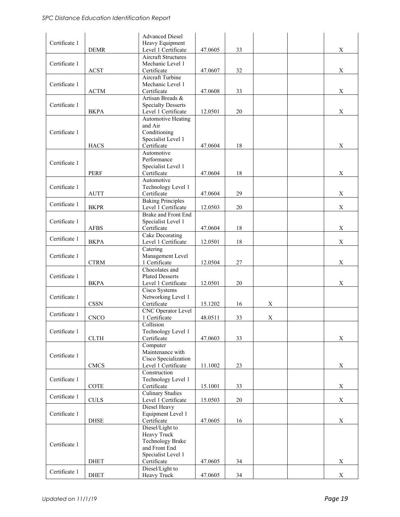|               |                              | <b>Advanced Diesel</b>                           |         |    |   |             |
|---------------|------------------------------|--------------------------------------------------|---------|----|---|-------------|
| Certificate 1 | <b>DEMR</b>                  | Heavy Equipment<br>Level 1 Certificate           | 47.0605 | 33 |   | X           |
|               |                              | <b>Aircraft Structures</b>                       |         |    |   |             |
| Certificate 1 | <b>ACST</b>                  | Mechanic Level 1<br>Certificate                  | 47.0607 | 32 |   | $\mathbf X$ |
|               |                              | Aircraft Turbine                                 |         |    |   |             |
| Certificate 1 |                              | Mechanic Level 1                                 |         |    |   |             |
|               | $\operatorname{ACTM}$        | Certificate                                      | 47.0608 | 33 |   | X           |
|               |                              | Artisan Breads &                                 |         |    |   |             |
| Certificate 1 | <b>BKPA</b>                  | <b>Specialty Desserts</b><br>Level 1 Certificate | 12.0501 | 20 |   | X           |
|               |                              | <b>Automotive Heating</b>                        |         |    |   |             |
|               |                              | and Air                                          |         |    |   |             |
| Certificate 1 |                              | Conditioning                                     |         |    |   |             |
|               | <b>HACS</b>                  | Specialist Level 1<br>Certificate                | 47.0604 | 18 |   | X           |
|               |                              | Automotive                                       |         |    |   |             |
| Certificate 1 |                              | Performance                                      |         |    |   |             |
|               |                              | Specialist Level 1                               |         |    |   |             |
|               | PERF                         | Certificate<br>Automotive                        | 47.0604 | 18 |   | X           |
| Certificate 1 |                              | Technology Level 1                               |         |    |   |             |
|               | <b>AUTT</b>                  | Certificate                                      | 47.0604 | 29 |   | X           |
| Certificate 1 |                              | <b>Baking Principles</b>                         |         |    |   |             |
|               | <b>BKPR</b>                  | Level 1 Certificate<br>Brake and Front End       | 12.0503 | 20 |   | $\mathbf X$ |
| Certificate 1 |                              | Specialist Level 1                               |         |    |   |             |
|               | <b>AFBS</b>                  | Certificate                                      | 47.0604 | 18 |   | $\mathbf X$ |
| Certificate 1 |                              | Cake Decorating                                  |         |    |   |             |
|               | <b>BKPA</b>                  | Level 1 Certificate                              | 12.0501 | 18 |   | $\mathbf X$ |
| Certificate 1 |                              | Catering<br>Management Level                     |         |    |   |             |
|               | <b>CTRM</b>                  | 1 Certificate                                    | 12.0504 | 27 |   | X           |
|               |                              | Chocolates and                                   |         |    |   |             |
| Certificate 1 |                              | <b>Plated Desserts</b>                           |         |    |   |             |
|               | <b>BKPA</b>                  | Level 1 Certificate<br>Cisco Systems             | 12.0501 | 20 |   | X           |
| Certificate 1 |                              | Networking Level 1                               |         |    |   |             |
|               | $\mathop{\rm CSSN}\nolimits$ | Certificate                                      | 15.1202 | 16 | X |             |
| Certificate 1 |                              | CNC Operator Level                               |         |    |   |             |
|               | <b>CNCO</b>                  | 1 Certificate<br>Collision                       | 48.0511 | 33 | X |             |
| Certificate 1 |                              | Technology Level 1                               |         |    |   |             |
|               | ${\rm CLTH}$                 | Certificate                                      | 47.0603 | 33 |   | $\mathbf X$ |
|               |                              | Computer                                         |         |    |   |             |
| Certificate 1 |                              | Maintenance with<br>Cisco Specialization         |         |    |   |             |
|               | <b>CMCS</b>                  | Level 1 Certificate                              | 11.1002 | 23 |   | X           |
|               |                              | Construction                                     |         |    |   |             |
| Certificate 1 |                              | Technology Level 1                               |         |    |   |             |
|               | $\operatorname{COTE}$        | Certificate<br><b>Culinary Studies</b>           | 15.1001 | 33 |   | X           |
| Certificate 1 | <b>CULS</b>                  | Level 1 Certificate                              | 15.0503 | 20 |   | $\mathbf X$ |
|               |                              | Diesel Heavy                                     |         |    |   |             |
| Certificate 1 |                              | Equipment Level 1                                |         |    |   |             |
|               | <b>DHSE</b>                  | Certificate                                      | 47.0605 | 16 |   | $\mathbf X$ |
|               |                              | Diesel/Light to<br>Heavy Truck                   |         |    |   |             |
|               |                              | Technology Brake                                 |         |    |   |             |
| Certificate 1 |                              | and Front End                                    |         |    |   |             |
|               |                              | Specialist Level 1                               |         |    |   |             |
|               | <b>DHET</b>                  | Certificate<br>Diesel/Light to                   | 47.0605 | 34 |   | $\mathbf X$ |
| Certificate 1 | <b>DHET</b>                  | Heavy Truck                                      | 47.0605 | 34 |   | $\mathbf X$ |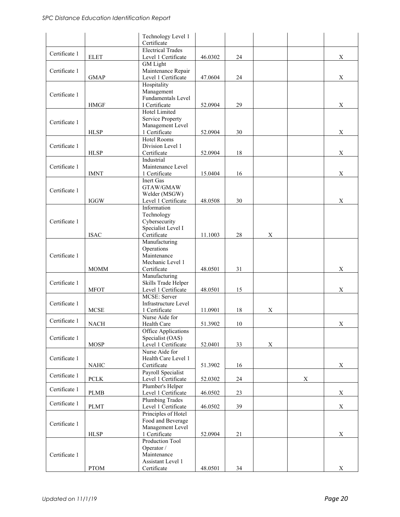|               |                            | Technology Level 1<br>Certificate                                                |         |        |   |             |             |
|---------------|----------------------------|----------------------------------------------------------------------------------|---------|--------|---|-------------|-------------|
| Certificate 1 | <b>ELET</b>                | <b>Electrical Trades</b><br>Level 1 Certificate                                  | 46.0302 | 24     |   |             | X           |
| Certificate 1 | <b>GMAP</b>                | <b>GM</b> Light<br>Maintenance Repair<br>Level 1 Certificate                     | 47.0604 | 24     |   |             | $\mathbf X$ |
| Certificate 1 | <b>HMGF</b>                | Hospitality<br>Management<br>Fundamentals Level<br>I Certificate                 | 52.0904 | 29     |   |             | $\mathbf X$ |
| Certificate 1 | <b>HLSP</b>                | Hotel Limited<br>Service Property<br>Management Level<br>1 Certificate           | 52.0904 | 30     |   |             | X           |
| Certificate 1 | <b>HLSP</b>                | Hotel Rooms<br>Division Level 1<br>Certificate                                   | 52.0904 | 18     |   |             | X           |
| Certificate 1 | <b>IMNT</b>                | Industrial<br>Maintenance Level<br>1 Certificate                                 | 15.0404 | 16     |   |             | X           |
| Certificate 1 | <b>IGGW</b>                | <b>Inert Gas</b><br>GTAW/GMAW<br>Welder (MSGW)<br>Level 1 Certificate            | 48.0508 | 30     |   |             | X           |
| Certificate 1 | <b>ISAC</b>                | Information<br>Technology<br>Cybersecurity<br>Specialist Level I<br>Certificate  | 11.1003 | 28     | X |             |             |
| Certificate 1 | <b>MOMM</b>                | Manufacturing<br>Operations<br>Maintenance<br>Mechanic Level 1<br>Certificate    | 48.0501 | 31     |   |             | $\mathbf X$ |
| Certificate 1 | <b>MFOT</b>                | Manufacturing<br>Skills Trade Helper<br>Level 1 Certificate                      | 48.0501 | 15     |   |             | X           |
| Certificate 1 | <b>MCSE</b>                | MCSE: Server<br>Infrastructure Level<br>1 Certificate                            | 11.0901 | 18     | X |             |             |
| Certificate 1 | <b>NACH</b>                | Nurse Aide for<br>Health Care                                                    | 51.3902 | $10\,$ |   |             | X           |
| Certificate 1 | <b>MOSP</b>                | Office Applications<br>Specialist (OAS)<br>Level 1 Certificate                   | 52.0401 | 33     | X |             |             |
| Certificate 1 | $\rm NAHC$                 | Nurse Aide for<br>Health Care Level 1<br>Certificate                             | 51.3902 | 16     |   |             | $\mathbf X$ |
| Certificate 1 | $\ensuremath{\text{PCLK}}$ | Payroll Specialist<br>Level 1 Certificate                                        | 52.0302 | 24     |   | $\mathbf X$ |             |
| Certificate 1 | <b>PLMB</b>                | Plumber's Helper<br>Level 1 Certificate                                          | 46.0502 | 23     |   |             | $\mathbf X$ |
| Certificate 1 | <b>PLMT</b>                | <b>Plumbing Trades</b><br>Level 1 Certificate                                    | 46.0502 | 39     |   |             | $\mathbf X$ |
| Certificate 1 | <b>HLSP</b>                | Principles of Hotel<br>Food and Beverage<br>Management Level<br>1 Certificate    | 52.0904 | 21     |   |             | $\mathbf X$ |
| Certificate 1 | ${\rm PTOM}$               | Production Tool<br>Operator /<br>Maintenance<br>Assistant Level 1<br>Certificate | 48.0501 | 34     |   |             | X           |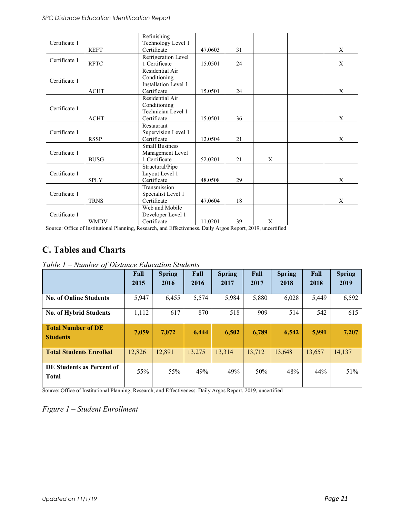|               |             | Refinishing           |         |    |   |   |
|---------------|-------------|-----------------------|---------|----|---|---|
| Certificate 1 |             | Technology Level 1    |         |    |   |   |
|               | <b>REFT</b> | Certificate           | 47.0603 | 31 |   | X |
| Certificate 1 |             | Refrigeration Level   |         |    |   |   |
|               | <b>RFTC</b> | 1 Certificate         | 15.0501 | 24 |   | X |
|               |             | Residential Air       |         |    |   |   |
| Certificate 1 |             | Conditioning          |         |    |   |   |
|               |             | Installation Level 1  |         |    |   |   |
|               | <b>ACHT</b> | Certificate           | 15.0501 | 24 |   | X |
|               |             | Residential Air       |         |    |   |   |
|               |             | Conditioning          |         |    |   |   |
| Certificate 1 |             | Technician Level 1    |         |    |   |   |
|               | <b>ACHT</b> | Certificate           | 15.0501 | 36 |   | X |
|               |             | Restaurant            |         |    |   |   |
| Certificate 1 |             | Supervision Level 1   |         |    |   |   |
|               | <b>RSSP</b> | Certificate           | 12.0504 | 21 |   | X |
|               |             | <b>Small Business</b> |         |    |   |   |
| Certificate 1 |             | Management Level      |         |    |   |   |
|               | <b>BUSG</b> | 1 Certificate         | 52.0201 | 21 | X |   |
|               |             | Structural/Pipe       |         |    |   |   |
| Certificate 1 |             | Layout Level 1        |         |    |   |   |
|               | <b>SPLY</b> | Certificate           | 48.0508 | 29 |   | X |
|               |             | Transmission          |         |    |   |   |
| Certificate 1 |             | Specialist Level 1    |         |    |   |   |
|               | <b>TRNS</b> | Certificate           | 47.0604 | 18 |   | X |
|               |             | Web and Mobile        |         |    |   |   |
| Certificate 1 |             | Developer Level 1     |         |    |   |   |
|               | <b>WMDV</b> | Certificate           | 11.0201 | 39 | X |   |

Source: Office of Institutional Planning, Research, and Effectiveness. Daily Argos Report, 2019, uncertified

### **C. Tables and Charts**

| Table $1$ – Number of Distance Education Students |  |  |  |  |  |  |  |
|---------------------------------------------------|--|--|--|--|--|--|--|
|---------------------------------------------------|--|--|--|--|--|--|--|

|                                              | Fall<br>2015 | <b>Spring</b><br>2016 | Fall<br>2016 | <b>Spring</b><br>2017 | Fall<br>2017 | <b>Spring</b><br>2018 | Fall<br>2018 | <b>Spring</b><br>2019 |
|----------------------------------------------|--------------|-----------------------|--------------|-----------------------|--------------|-----------------------|--------------|-----------------------|
| <b>No. of Online Students</b>                | 5,947        | 6,455                 | 5,574        | 5,984                 | 5,880        | 6,028                 | 5,449        | 6,592                 |
| <b>No. of Hybrid Students</b>                | 1,112        | 617                   | 870          | 518                   | 909          | 514                   | 542          | 615                   |
| <b>Total Number of DE</b><br><b>Students</b> | 7.059        | 7,072                 | 6.444        | 6,502                 | 6.789        | 6,542                 | 5,991        | 7,207                 |
| <b>Total Students Enrolled</b>               | 12,826       | 12,891                | 13,275       | 13,314                | 13,712       | 13.648                | 13,657       | 14,137                |
| DE Students as Percent of<br><b>Total</b>    | 55%          | 55%                   | 49%          | 49%                   | 50%          | 48%                   | 44%          | 51%                   |

Source: Office of Institutional Planning, Research, and Effectiveness. Daily Argos Report, 2019, uncertified

*Figure 1 – Student Enrollment*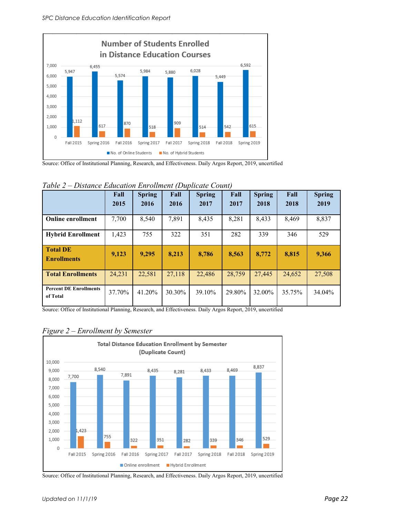

Source: Office of Institutional Planning, Research, and Effectiveness. Daily Argos Report, 2019, uncertified

|                                           | Fall<br>2015 | <b>Spring</b><br>2016 | Fall<br>2016 | <b>Spring</b><br>2017 | Fall<br>2017 | <b>Spring</b><br>2018 | Fall<br>2018 | <b>Spring</b><br>2019 |
|-------------------------------------------|--------------|-----------------------|--------------|-----------------------|--------------|-----------------------|--------------|-----------------------|
| <b>Online enrollment</b>                  | 7,700        | 8,540                 | 7,891        | 8,435                 | 8,281        | 8,433                 | 8,469        | 8,837                 |
| <b>Hybrid Enrollment</b>                  | 1,423        | 755                   | 322          | 351                   | 282          | 339                   | 346          | 529                   |
| <b>Total DE</b><br><b>Enrollments</b>     | 9,123        | 9,295                 | 8,213        | 8,786                 | 8,563        | 8,772                 | 8,815        | 9,366                 |
| <b>Total Enrollments</b>                  | 24,231       | 22,581                | 27,118       | 22,486                | 28,759       | 27,445                | 24,652       | 27,508                |
| <b>Percent DE Enrollments</b><br>of Total | 37.70%       | 41.20%                | 30.30%       | 39.10%                | 29.80%       | 32.00%                | 35.75%       | 34.04%                |

*Table 2 – Distance Education Enrollment (Duplicate Count)*

Source: Office of Institutional Planning, Research, and Effectiveness. Daily Argos Report, 2019, uncertified



#### *Figure 2 – Enrollment by Semester*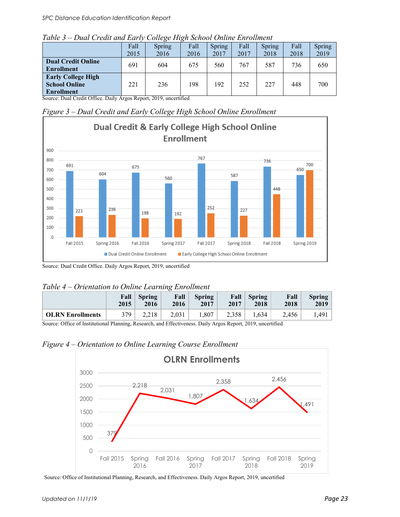| Table 3 – Dual Credit and Early College High School Online Enrollment |  |
|-----------------------------------------------------------------------|--|
|-----------------------------------------------------------------------|--|

|                                                                                                                                                                                                                                                                    | Fall<br>2015 | Spring<br>2016          | Fall<br>2016 | Spring<br>2017 | Fall<br>2017 | Spring<br>2018 | Fall<br>2018 | Spring<br>2019 |
|--------------------------------------------------------------------------------------------------------------------------------------------------------------------------------------------------------------------------------------------------------------------|--------------|-------------------------|--------------|----------------|--------------|----------------|--------------|----------------|
| <b>Dual Credit Online</b><br><b>Enrollment</b>                                                                                                                                                                                                                     | 691          | 604                     | 675          | 560            | 767          | 587            | 736          | 650            |
| <b>Early College High</b><br><b>School Online</b><br><b>Enrollment</b><br>$\Omega$ , $\Omega$ , $\Omega$ , $\Omega$ , $\Omega$ , $\Omega$ , $\Omega$ , $\Omega$ , $\Omega$ , $\Omega$ , $\Omega$ , $\Omega$ , $\Omega$ , $\Omega$ , $\Omega$ , $\Omega$ , $\Omega$ | 221          | 236<br>$2010 - 10^{10}$ | 198          | 192            | 252          | 227            | 448          | 700            |

Source: Dual Credit Office. Daily Argos Report, 2019, uncertified

*Figure 3 – Dual Credit and Early College High School Online Enrollment*



Source: Dual Credit Office. Daily Argos Report, 2019, uncertified

| Table 4 – Orientation to Online Learning Enrollment |  |  |  |
|-----------------------------------------------------|--|--|--|
|-----------------------------------------------------|--|--|--|

|                                                            | 2015 | <b>Fall</b> Spring<br>2016 | Fall<br>2016 | <b>Spring</b><br>2017 | Fall<br>2017                                                                                                                                                                                                                                                                                                                       | $\vert$ Spring<br>2018 | Fall<br>2018 | <b>Spring</b><br>2019 |
|------------------------------------------------------------|------|----------------------------|--------------|-----------------------|------------------------------------------------------------------------------------------------------------------------------------------------------------------------------------------------------------------------------------------------------------------------------------------------------------------------------------|------------------------|--------------|-----------------------|
| <b>OLRN</b> Enrollments                                    | 379  | 2.218                      | 2,031        | 1,807                 | 2,358                                                                                                                                                                                                                                                                                                                              | 1,634                  | 2.456        | 1.491                 |
| $\alpha$ of $\alpha$ in $\alpha$ is the $\alpha$<br>$\sim$ |      |                            |              |                       | $\mathbf{D}$ $\mathbf{D}$ $\mathbf{D}$ $\mathbf{D}$ $\mathbf{D}$ $\mathbf{D}$ $\mathbf{D}$ $\mathbf{D}$ $\mathbf{D}$ $\mathbf{D}$ $\mathbf{D}$ $\mathbf{D}$ $\mathbf{D}$ $\mathbf{D}$ $\mathbf{D}$ $\mathbf{D}$ $\mathbf{D}$ $\mathbf{D}$ $\mathbf{D}$ $\mathbf{D}$ $\mathbf{D}$ $\mathbf{D}$ $\mathbf{D}$ $\mathbf{D}$ $\mathbf{$ |                        |              |                       |

Source: Office of Institutional Planning, Research, and Effectiveness. Daily Argos Report, 2019, uncertified

*Figure 4 – Orientation to Online Learning Course Enrollment*

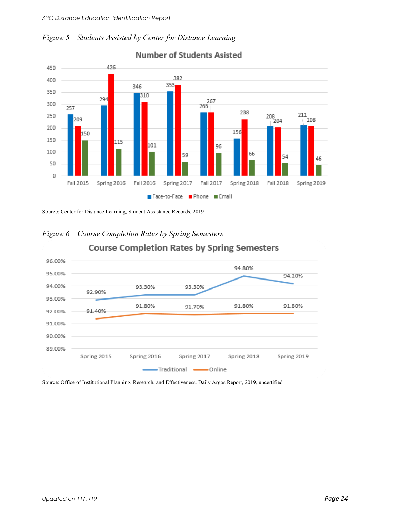

*Figure 5 – Students Assisted by Center for Distance Learning* 

Source: Center for Distance Learning, Student Assistance Records, 2019



#### *Figure 6 – Course Completion Rates by Spring Semesters*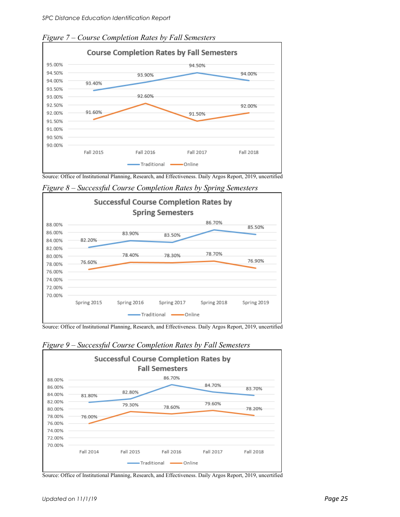

*Figure 7 – Course Completion Rates by Fall Semesters*

Source: Office of Institutional Planning, Research, and Effectiveness. Daily Argos Report, 2019, uncertified

**Successful Course Completion Rates by Spring Semesters** 86.70% 88.00% 85.50% 86.00% 83.90% 83.50% 82.20% 84.00% 82.00% 78.70% 78.40% 78.30% 80.00% 76.90% 76.60% 78.00% 76.00% 74.00% 72.00% 70.00% Spring 2015 Spring 2016 Spring 2017 Spring 2018 Spring 2019 Traditional - Online

*Figure 8 – Successful Course Completion Rates by Spring Semesters*

Source: Office of Institutional Planning, Research, and Effectiveness. Daily Argos Report, 2019, uncertified